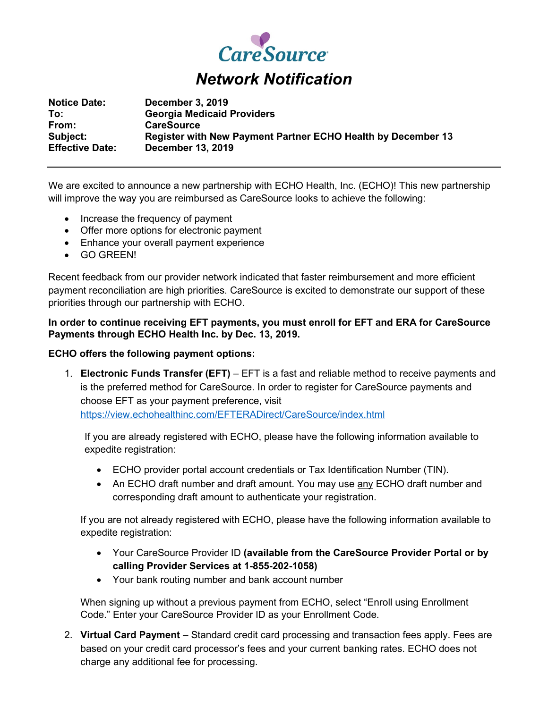

**Notice Date: December 3, 2019 To: Georgia Medicaid Providers From: CareSource Subject: Register with New Payment Partner ECHO Health by December 13 Effective Date: December 13, 2019**

We are excited to announce a new partnership with ECHO Health, Inc. (ECHO)! This new partnership will improve the way you are reimbursed as CareSource looks to achieve the following:

- Increase the frequency of payment
- Offer more options for electronic payment
- Enhance your overall payment experience
- GO GREEN!

Recent feedback from our provider network indicated that faster reimbursement and more efficient payment reconciliation are high priorities. CareSource is excited to demonstrate our support of these priorities through our partnership with ECHO.

# **In order to continue receiving EFT payments, you must enroll for EFT and ERA for CareSource Payments through ECHO Health Inc. by Dec. 13, 2019.**

# **ECHO offers the following payment options:**

1. **Electronic Funds Transfer (EFT)** – EFT is a fast and reliable method to receive payments and is the preferred method for CareSource. In order to register for CareSource payments and choose EFT as your payment preference, visit <https://view.echohealthinc.com/EFTERADirect/CareSource/index.html>

If you are already registered with ECHO, please have the following information available to expedite registration:

- ECHO provider portal account credentials or Tax Identification Number (TIN).
- An ECHO draft number and draft amount. You may use any ECHO draft number and corresponding draft amount to authenticate your registration.

If you are not already registered with ECHO, please have the following information available to expedite registration:

- Your CareSource Provider ID **(available from the CareSource Provider Portal or by calling Provider Services at 1-855-202-1058)**
- Your bank routing number and bank account number

When signing up without a previous payment from ECHO, select "Enroll using Enrollment Code." Enter your CareSource Provider ID as your Enrollment Code.

2. **Virtual Card Payment** – Standard credit card processing and transaction fees apply. Fees are based on your credit card processor's fees and your current banking rates. ECHO does not charge any additional fee for processing.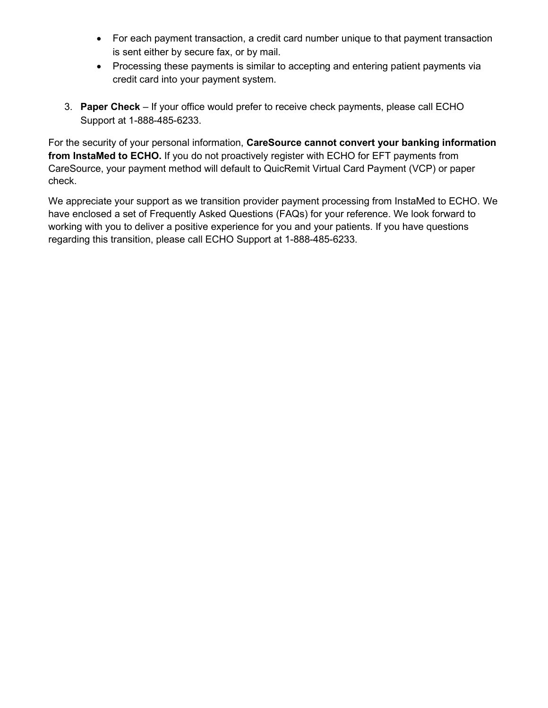- For each payment transaction, a credit card number unique to that payment transaction is sent either by secure fax, or by mail.
- Processing these payments is similar to accepting and entering patient payments via credit card into your payment system.
- 3. **Paper Check** If your office would prefer to receive check payments, please call ECHO Support at 1-888-485-6233.

For the security of your personal information, **CareSource cannot convert your banking information from InstaMed to ECHO.** If you do not proactively register with ECHO for EFT payments from CareSource, your payment method will default to QuicRemit Virtual Card Payment (VCP) or paper check.

We appreciate your support as we transition provider payment processing from InstaMed to ECHO. We have enclosed a set of Frequently Asked Questions (FAQs) for your reference. We look forward to working with you to deliver a positive experience for you and your patients. If you have questions regarding this transition, please call ECHO Support at 1-888-485-6233.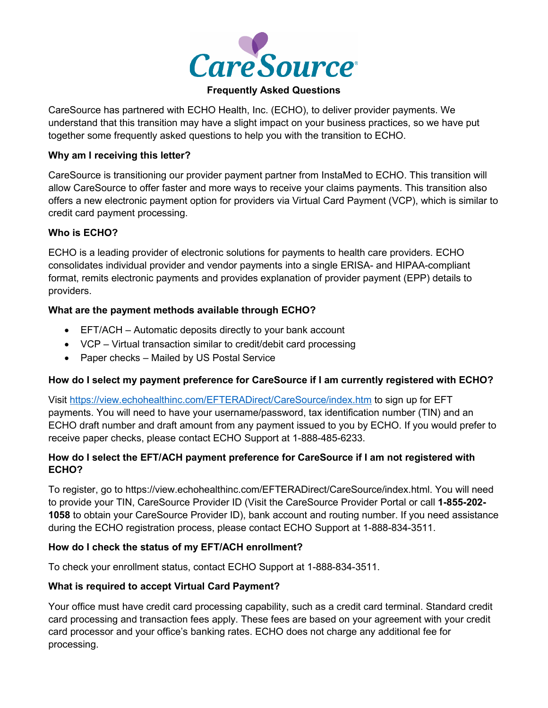

#### **Frequently Asked Questions**

CareSource has partnered with ECHO Health, Inc. (ECHO), to deliver provider payments. We understand that this transition may have a slight impact on your business practices, so we have put together some frequently asked questions to help you with the transition to ECHO.

#### **Why am I receiving this letter?**

CareSource is transitioning our provider payment partner from InstaMed to ECHO. This transition will allow CareSource to offer faster and more ways to receive your claims payments. This transition also offers a new electronic payment option for providers via Virtual Card Payment (VCP), which is similar to credit card payment processing.

### **Who is ECHO?**

ECHO is a leading provider of electronic solutions for payments to health care providers. ECHO consolidates individual provider and vendor payments into a single ERISA- and HIPAA-compliant format, remits electronic payments and provides explanation of provider payment (EPP) details to providers.

### **What are the payment methods available through ECHO?**

- EFT/ACH Automatic deposits directly to your bank account
- VCP Virtual transaction similar to credit/debit card processing
- Paper checks Mailed by US Postal Service

### **How do I select my payment preference for CareSource if I am currently registered with ECHO?**

Visit <https://view.echohealthinc.com/EFTERADirect/CareSource/index.htm> to sign up for EFT payments. You will need to have your username/password, tax identification number (TIN) and an ECHO draft number and draft amount from any payment issued to you by ECHO. If you would prefer to receive paper checks, please contact ECHO Support at 1-888-485-6233.

# **How do I select the EFT/ACH payment preference for CareSource if I am not registered with ECHO?**

To register, go to https://view.echohealthinc.com/EFTERADirect/CareSource/index.html. You will need to provide your TIN, CareSource Provider ID (Visit the CareSource Provider Portal or call **1-855-202- 1058** to obtain your CareSource Provider ID), bank account and routing number. If you need assistance during the ECHO registration process, please contact ECHO Support at 1-888-834-3511.

### **How do I check the status of my EFT/ACH enrollment?**

To check your enrollment status, contact ECHO Support at 1-888-834-3511.

# **What is required to accept Virtual Card Payment?**

Your office must have credit card processing capability, such as a credit card terminal. Standard credit card processing and transaction fees apply. These fees are based on your agreement with your credit card processor and your office's banking rates. ECHO does not charge any additional fee for processing.